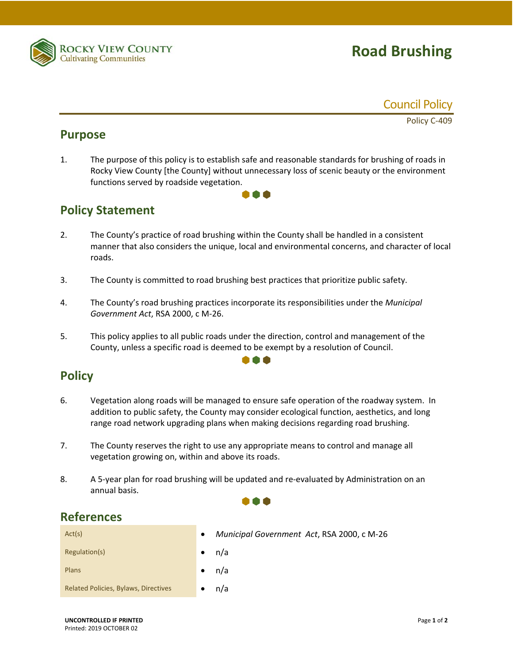

# **Road Brushing**



Policy C‐409

### **Purpose**

1. The purpose of this policy is to establish safe and reasonable standards for brushing of roads in Rocky View County [the County] without unnecessary loss of scenic beauty or the environment functions served by roadside vegetation.

100

## **Policy Statement**

- 2. The County's practice of road brushing within the County shall be handled in a consistent manner that also considers the unique, local and environmental concerns, and character of local roads.
- 3. The County is committed to road brushing best practices that prioritize public safety.
- 4. The County's road brushing practices incorporate its responsibilities under the *Municipal Government Act*, RSA 2000, c M‐26.
- 5. This policy applies to all public roads under the direction, control and management of the County, unless a specific road is deemed to be exempt by a resolution of Council.

000

## **Policy**

- 6. Vegetation along roads will be managed to ensure safe operation of the roadway system. In addition to public safety, the County may consider ecological function, aesthetics, and long range road network upgrading plans when making decisions regarding road brushing.
- 7. The County reserves the right to use any appropriate means to control and manage all vegetation growing on, within and above its roads.
- 8. A 5-year plan for road brushing will be updated and re-evaluated by Administration on an annual basis.

. . .

### **References**

| Act(s)                                      | Municipal Government Act, RSA 2000, c M-26<br>$\bullet$ |
|---------------------------------------------|---------------------------------------------------------|
| Regulation(s)                               | n/a                                                     |
| Plans                                       | n/a                                                     |
| <b>Related Policies, Bylaws, Directives</b> | n/a                                                     |